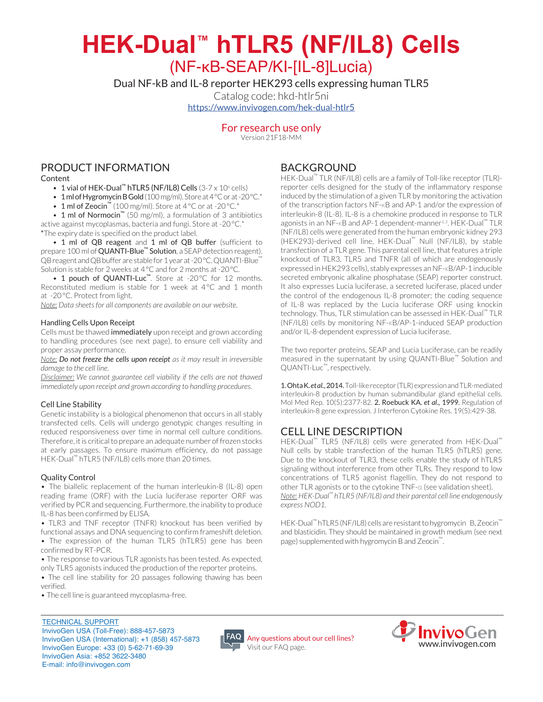# HEK-Dual<sup>™</sup> hTLR5 (NF/IL8) Cells

(NF-κB-SEAP/KI-[IL-8]Lucia)

Dual NF-kB and IL-8 reporter HEK 293 cells expressing human TLR5

Catalog code: hkd-htlr5ni https://www.invivogen.com/hek-dual-htlr5

## For research use only

Version 21F18-MM

# PRODUCT INFORMATION

Content

- 1 vial of HEK-Dual<sup>"</sup> hTLR5 (NF/IL8) Cells  $(3-7 \times 10^6 \text{ cells})$
- \* 1 ml of Hygromycin B Gold (100 mg/ml). Store at 4°C or at -20°C.\*
- 1 ml of Zeocin<sup>™</sup> (100 mg/ml). Store at 4 °C or at -20 °C.\*

• 1 ml of Normocin<sup>™</sup> (50 mg/ml), a formulation of 3 antibiotics active against mycoplasmas, bacteria and fungi. Store at -20°C.\* \*The expiry date is specified on the product label.

• 1 ml of QB reagent and 1 ml of QB buffer (sufficient to prepare 100 ml of QUANTI-Blue<sup>™</sup> Solution, a SEAP detection reagent). QB reagent and QB buffer are stable for 1 year at -20 °C. QUANTI-Blue" Solution is stable for 2 weeks at 4 °C and for 2 months at -20 °C.

• 1 pouch of QUANTI-Luc<sup>™</sup>. Store at -20°C for 12 months. Reconstituted medium is stable for 1 week at  $4^{\circ}$ C and 1 month at -20°C. Protect from light.

*Note: Data sheets for all components are available on our website.* 

#### Handling Cells Upon Receipt

Cells must be thawed immediately upon receipt and grown according to handling procedures (see next page), to ensure cell viability and proper assay performance.

*Note:* Do not freeze the cells upon receipt as it may result in irreversible damage to the cell line.

*Disclaimer: We cannot guarantee cell viability if the cells are not thawed immediately upon receipt and grown according to handling procedures.* 

#### Cell Line Stability

Genetic instability is a biological phenomenon that occurs in all stably transfected cells. Cells will undergo genotypic changes resulting in reduced responsiveness over time in normal cell culture conditions. Therefore, it is critical to prepare an adequate number of frozen stocks at early passages. To ensure maximum efficiency, do not passage HEK-Dual<sup>™</sup> hTLR5 (NF/IL8) cells more than 20 times.

#### **Quality Control**

• The biallelic replacement of the human interleukin-8 (IL-8) open reading frame (ORF) with the Lucia luciferase reporter ORF was verified by PCR and sequencing. Furthermore, the inability to produce IL-8 has been confirmed by ELISA.

• TLR3 and TNF receptor (TNFR) knockout has been verified by functional assays and DNA sequencing to confirm frameshift deletion.

- The expression of the human TLR5 (hTLR5) gene has been confirmed by RT-PCR.
- The response to various TLR agonists has been tested. As expected, only TLR5 agonists induced the production of the reporter proteins.
- The cell line stability for 20 passages following thawing has been .verified
- . The cell line is guaranteed mycoplasma-free.

# BACKGROUND

HEK-Dual<sup>™</sup> TLR (NF/IL8) cells are a family of Toll-like receptor (TLR)reporter cells designed for the study of the inflammatory response induced by the stimulation of a given TLR by monitoring the activation of the transcription factors NF-κB and AP-1 and/or the expression of interleukin-8 (IL-8). IL-8 is a chemokine produced in response to TLR agonists in an NF-KB and AP-1 dependent-manner<sup>1,2</sup>. HEK-Dual<sup>™</sup> TLR (NF/IL8) cells were generated from the human embryonic kidney 293 (HEK293)-derived cell line. HEK-Dual™ Null (NF/IL8), by stable transfection of a TLR gene. This parental cell line, that features a triple knockout of TLR3, TLR5 and TNFR (all of which are endogenously expressed in HEK293 cells), stably expresses an NF-KB/AP-1 inducible secreted embryonic alkaline phosphatase (SEAP) reporter construct. It also expresses Lucia luciferase, a secreted luciferase, placed under the control of the endogenous IL-8 promoter; the coding sequence of IL-8 was replaced by the Lucia luciferase ORF using knockin technology. Thus, TLR stimulation can be assessed in HEK-Dual™ TLR (NF/IL8) cells by monitoring NF-KB/AP-1-induced SEAP production and/or IL-8-dependent expression of Lucia luciferase.

The two reporter proteins, SEAP and Lucia Luciferase, can be readily measured in the supernatant by using QUANTI-Blue<sup>™</sup> Solution and QUANTI-Luc™, respectively.

1. Ohta K.etal., 2014. Toll-like receptor (TLR) expression and TLR-mediated interleukin-8 production by human submandibular gland epithelial cells. Mol Med Rep. 10(5):2377-82. 2. Roebuck KA. et al., 1999. Regulation of interleukin-8 gene expression. J Interferon Cytokine Res. 19(5):429-38.

# **CELL LINE DESCRIPTION**

HEK-Dual<sup>™</sup> TLR5 (NF/IL8) cells were generated from HEK-Dual<sup>™</sup> Null cells by stable transfection of the human TLR5 (hTLR5) gene. Due to the knockout of TLR3, these cells enable the study of hTLR5 signaling without interference from other TLRs. They respond to low concentrations of TLR5 agonist flagellin. They do not respond to other TLR agonists or to the cytokine TNF-α (see validation sheet). *Note: HEK-Dual<sup>™</sup> hTLR5 (NF/IL8) and their parental cell line endogenously* express NOD1.

HEK-Dual<sup>™</sup> hTLR5 (NF/IL8) cells are resistant to hygromycin B, Zeocin<sup>™</sup> and blasticidin. They should be maintained in growth medium (see next page) supplemented with hygromycin B and Zeocin<sup>™</sup>.

**TECHNICAL SUPPORT** InvivoGen USA (Toll-Free): 888-457-5873 InvivoGen USA (International): +1 (858) 457-5873 InvivoGen Europe: +33 (0) 5-62-71-69-39 InvivoGen Asia: +852 3622-3480 E-mail: info@invivogen.com



Any questions about our cell lines? Visit our FAQ page.

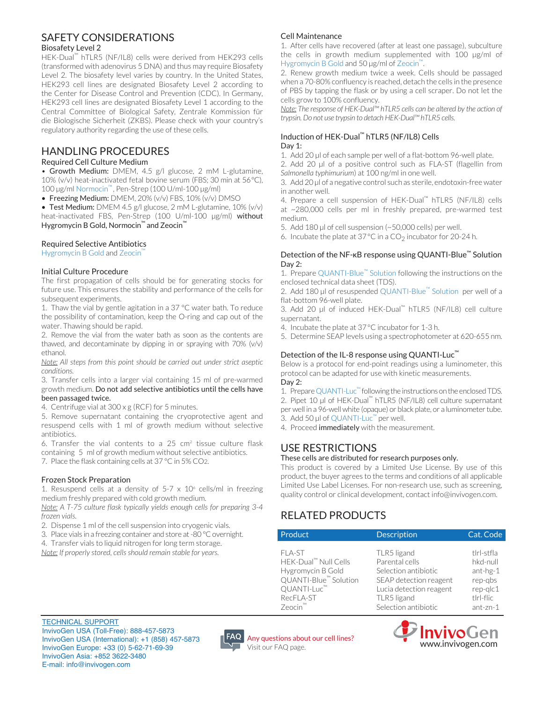## SAFFTY CONSIDERATIONS

#### **Biosafety Level 2**

HEK-Dual<sup>™</sup> hTLR5 (NF/IL8) cells were derived from HEK293 cells (transformed with adenovirus 5 DNA) and thus may require Biosafety Level 2. The biosafety level varies by country. In the United States, HEK293 cell lines are designated Biosafety Level 2 according to the Center for Disease Control and Prevention (CDC). In Germany, HEK293 cell lines are designated Biosafety Level 1 according to the Central Committee of Biological Safety, Zentrale Kommission für die Biologische Sicherheit (ZKBS). Please check with your country's regulatory authority regarding the use of these cells.

## HANDLING PROCEDURES

#### Required Cell Culture Medium

• Growth Medium: DMEM, 4.5 g/l glucose, 2 mM L-glutamine, 10% (v/v) heat-inactivated fetal bovine serum (FBS; 30 min at 56 $^{\circ}$ C),  $100 \,\mu$ g/ml Normocin<sup>™</sup>, Pen-Strep (100 U/ml-100 μg/ml)

• Freezing Medium: DMEM, 20% (v/v) FBS, 10% (v/v) DMSO

• Test Medium: DMEM 4.5  $g/|g|$ ucose, 2 mM L-glutamine, 10%  $(v/v)$ heat-inactivated FBS, Pen-Strep (100 U/ml-100 µg/ml) without Hygromycin B Gold, Normocin<sup>™</sup> and Zeocin<sup>™</sup>

#### Required Selective Antibiotics

Hygromycin B Gold and Zeocin"

#### **Initial Culture Procedure**

The first propagation of cells should be for generating stocks for future use. This ensures the stability and performance of the cells for subsequent experiments.

1. Thaw the vial by gentle agitation in a 37  $^{\circ}$ C water bath. To reduce the possibility of contamination, keep the O-ring and cap out of the water. Thawing should be rapid.

2. Remove the vial from the water bath as soon as the contents are thawed, and decontaminate by dipping in or spraying with  $70\%$  (v/v) .ethanol

*Note:* All steps from this point should be carried out under strict aseptic *.conditions*

3. Transfer cells into a larger vial containing 15 ml of pre-warmed growth medium. Do not add selective antibiotics until the cells have been passaged twice.

4. Centrifuge vial at  $300 \times g$  (RCF) for 5 minutes.

5. Remove supernatant containing the cryoprotective agent and resuspend cells with 1 ml of growth medium without selective .antibiotics

6. Transfer the vial contents to a  $25 \text{ cm}^2$  tissue culture flask containing 5 ml of growth medium without selective antibiotics.

7. Place the flask containing cells at  $37^{\circ}$ C in 5% CO2.

#### **Frozen Stock Preparation**

1. Resuspend cells at a density of  $5-7 \times 10^6$  cells/ml in freezing medium freshly prepared with cold growth medium.

*Note: A T-75 culture flask typically yields enough cells for preparing 3-4 frozen* vials.

2. Dispense 1 ml of the cell suspension into cryogenic vials.

3. Place vials in a freezing container and store at -80 °C overnight.

4. Transfer vials to liquid nitrogen for long term storage.

*Note: If properly stored, cells should remain stable for years.* 

#### Cell Maintenance

1. After cells have recovered (after at least one passage), subculture the cells in growth medium supplemented with  $100$  µg/ml of Hygromycin B Gold and 50 µg/ml of Zeocin<sup>™</sup>.

2. Renew growth medium twice a week. Cells should be passaged when a 70-80% confluency is reached, detach the cells in the presence of PBS by tapping the flask or by using a cell scraper. Do not let the cells grow to 100% confluency.

*Note:* The response of HEK-Dual<sup>™</sup> hTLR5 cells can be altered by the action of *trypsin. Do not use trypsin to detach HEK-Dual™ hTLR5 cells.* 

#### Induction of HEK-Dual<sup>™</sup> hTLR5 (NF/IL8) Cells Day 1:

1. Add 20 µl of each sample per well of a flat-bottom 96-well plate.

2. Add 20 µl of a positive control such as FLA-ST (flagellin from Salmonella typhimurium) at 100 ng/ml in one well.

3. Add 20 µl of a negative control such as sterile, endotoxin-free water in another well.

4. Prepare a cell suspension of HEK-Dual<sup>™</sup> hTLR5 (NF/IL8) cells at  $\sim$  280,000 cells per ml in freshly prepared, pre-warmed test .medium

5. Add 180 µl of cell suspension ( $\sim$  50,000 cells) per well.

6. Incubate the plate at  $37^{\circ}$ C in a CO<sub>2</sub> incubator for 20-24 h.

#### Detection of the NF-κB response using QUANTI-Blue™ Solution Day 2:

1. Prepare QUANTI-Blue<sup>™</sup> Solution following the instructions on the enclosed technical data sheet (TDS).

2. Add 180 µl of resuspended QUANTI-Blue<sup>™</sup> Solution per well of a flat-bottom 96-well plate.

3. Add 20 µL of induced HFK-Dual<sup>™</sup> hTLR5 (NF/IL8) cell culture supernatant.

4. Incubate the plate at  $37^{\circ}$ C incubator for 1-3 h.

5. Determine SEAP levels using a spectrophotometer at 620-655 nm.

#### Detection of the IL-8 response using QUANTI-Luc<sup>™</sup>

Below is a protocol for end-point readings using a luminometer, this protocol can be adapted for use with kinetic measurements. Day 2:

1. Prepare QUANTI-Luc<sup>™</sup> following the instructions on the enclosed TDS. 2. Pipet 10 µl of HEK-Dual<sup>™</sup> hTLR5 (NF/IL8) cell culture supernatant per well in a 96-well white (opaque) or black plate, or a luminometer tube. 3. Add 50 µl of QUANTI-Luc™ per well.

4. Proceed immediately with the measurement.

# USE RESTRICTIONS

#### These cells are distributed for research purposes only.

This product is covered by a Limited Use License. By use of this product, the buyer agrees to the terms and conditions of all applicable Limited Use Label Licenses. For non-research use, such as screening, quality control or clinical development, contact info@invivogen.com.

# RELATED PRODUCTS

| Product               | <b>Description</b>      | Cat. Code  |
|-----------------------|-------------------------|------------|
| FLA-ST                | TLR5 ligand             | tlrl-stfla |
| HEK-Dual™ Null Cells  | Parental cells          | hkd-null   |
| Hygromycin B Gold     | Selection antibiotic    | ant-hg-1   |
| QUANTI-Blue™ Solution | SEAP detection reagent  | rep-gbs    |
| QUANTI-Luc™           | Lucia detection reagent | $rep-qlc1$ |
| RecFLA-ST             | TLR5 ligand             | tlrl-flic  |
| Zeocin™               | Selection antibiotic    | ant-zn-1   |



**TECHNICAL SUPPORT** InvivoGen USA (Toll-Free): 888-457-5873 InvivoGen USA (International): +1 (858) 457-5873 InvivoGen Europe: +33 (0) 5-62-71-69-39 InvivoGen Asia: +852 3622-3480 E-mail: info@invivogen.com



Any questions about our cell lines? Visit our FAQ page.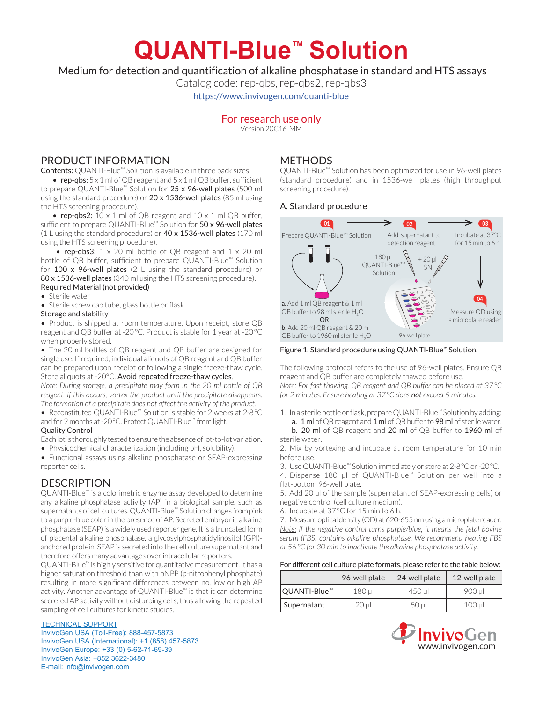# **QUANTI-Blue™ Solution**

Medium for detection and quantification of alkaline phosphatase in standard and HTS assays

Catalog code: rep-qbs, rep-qbs2, rep-qbs3

https://www.invivogen.com/quanti-blue

# For research use only

Version 20C16-MM

# PRODUCT INFORMATION

Contents: QUANTI-Blue<sup>™</sup> Solution is available in three pack sizes

• rep-qbs:  $5 \times 1$  ml of QB reagent and  $5 \times 1$  ml QB buffer, sufficient to prepare QUANTI-Blue<sup>™</sup> Solution for 25 x 96-well plates (500 ml using the standard procedure) or  $20 \times 1536$ -well plates (85 ml using the HTS screening procedure).

• rep-qbs2:  $10 \times 1$  ml of QB reagent and  $10 \times 1$  ml QB buffer, sufficient to prepare QUANTI-Blue<sup>™</sup> Solution for 50 x 96-well plates (1 L using the standard procedure) or  $40 \times 1536$ -well plates (170 ml using the HTS screening procedure).

• rep-qbs3:  $1 \times 20$  ml bottle of QB reagent and  $1 \times 20$  ml bottle of QB buffer, sufficient to prepare QUANTI-Blue<sup>™</sup> Solution for  $100 \times 96$ -well plates (2 L using the standard procedure) or 80 x 1536-well plates (340 ml using the HTS screening procedure). Required Material (not provided)

#### • Sterile water

• Sterile screw cap tube, glass bottle or flask

#### Storage and stability

• Product is shipped at room temperature. Upon receipt, store QB reagent and QB buffer at -20°C. Product is stable for 1 year at -20°C when properly stored.

• The 20 ml bottles of QB reagent and QB buffer are designed for single use. If required, individual aliquots of QB reagent and QB buffer can be prepared upon receipt or following a single freeze-thaw cycle. Store aliquots at -20°C. Avoid repeated freeze-thaw cycles.

*Note: During storage, a precipitate may form in the 20 ml bottle of QB reagent. If this occurs, vortex the product until the precipitate disappears.* The formation of a precipitate does not affect the activity of the product.

• Reconstituted QUANTI-Blue<sup>™</sup> Solution is stable for 2 weeks at 2-8 °C and for 2 months at -20°C. Protect QUANTI-Blue™ from light.

#### Quality Control

Each lot is thoroughly tested to ensure the absence of lot-to-lot variation. • Physicochemical characterization (including pH, solubility).

• Functional assays using alkaline phosphatase or SEAP-expressing reporter cells.

# **DESCRIPTION**

QUANTI-Blue<sup>™</sup> is a colorimetric enzyme assay developed to determine any alkaline phosphatase activity (AP) in a biological sample, such as supernatants of cell cultures. QUANTI-Blue<sup>™</sup> Solution changes from pink to a purple-blue color in the presence of AP. Secreted embryonic alkaline phosphatase (SEAP) is a widely used reporter gene. It is a truncated form of placental alkaline phosphatase, a glycosylphosphatidylinositol (GPI)anchored protein. SEAP is secreted into the cell culture supernatant and therefore offers many advantages over intracellular reporters.

QUANTI-Blue<sup>™</sup> is highly sensitive for quantitative measurement. It has a higher saturation threshold than with pNPP (p-nitrophenyl phosphate) resulting in more significant differences between no, low or high AP activity. Another advantage of QUANTI-Blue™ is that it can determine secreted AP activity without disturbing cells, thus allowing the repeated sampling of cell cultures for kinetic studies.

# TECHNICAL SUPPORT

InvivoGen USA (Toll-Free): 888-457-5873 InvivoGen USA (International): +1 (858) 457-5873 InvivoGen Europe: +33 (0) 5-62-71-69-39 InvivoGen Asia: +852 3622-3480 E-mail: info@invivogen.com

# **METHODS**

QUANTI-Blue™ Solution has been optimized for use in 96-well plates (standard procedure) and in 1536-well plates (high throughput screening procedure).

#### A. Standard procedure



#### Figure 1. Standard procedure using QUANTI-Blue™ Solution.

The following protocol refers to the use of 96-well plates. Ensure OB reagent and QB buffer are completely thawed before use. *Note:* For fast thawing, QB reagent and QB buffer can be placed at 37°C *for 2 minutes. Ensure heating at 37°C does not exceed 5 minutes.* 

1. In a sterile bottle or flask, prepare QUANTI-Blue™ Solution by adding: a. 1 ml of QB reagent and 1 ml of QB buffer to 98 ml of sterile water.

b. 20 ml of QB reagent and 20 ml of QB buffer to 1960 ml of sterile water.

2. Mix by vortexing and incubate at room temperature for 10 min before use

3. Use QUANTI-Blue<sup>™</sup> Solution immediately or store at 2-8°C or -20°C.

4. Dispense 180 μl of QUANTI-Blue<sup>™</sup> Solution per well into a flat-bottom 96-well plate.

5. Add 20 µl of the sample (supernatant of SEAP-expressing cells) or negative control (cell culture medium).

6. Incubate at  $37^{\circ}$ C for 15 min to 6 h.

7. Measure optical density (OD) at 620-655 nm using a microplate reader. *Note: If the negative control turns purple/blue, it means the fetal bovine* serum (FBS) contains alkaline phosphatase. We recommend heating FBS *at* 56 °C for 30 min to inactivate the alkaline phosphatase activity.

#### For different cell culture plate formats, please refer to the table below:

|                     | 96-well plate | 24-well plate | 12-well plate |
|---------------------|---------------|---------------|---------------|
| <b>QUANTI-Blue™</b> | 180 ul        | 450 ul        | 900 ul        |
| Supernatant         | 20 ul         | 50 ul         | $100$ µ       |

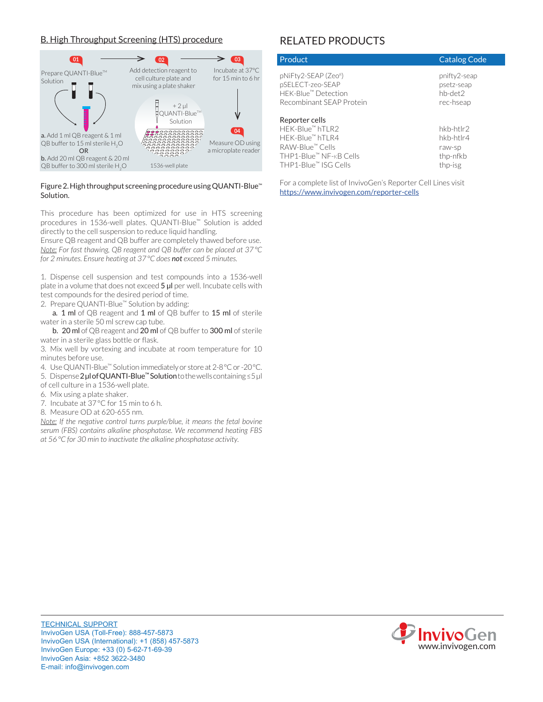### **B. High Throughput Screening (HTS) procedure**



#### Figure 2. High throughput screening procedure using QUANTI-Blue™ Solution.

This procedure has been optimized for use in HTS screening procedures in 1536-well plates. QUANTI-Blue<sup>™</sup> Solution is added directly to the cell suspension to reduce liquid handling.

Ensure QB reagent and QB buffer are completely thawed before use. *Note:* For fast thawing, QB reagent and QB buffer can be placed at 37°C *for 2 minutes. Ensure heating at 37°C does not exceed 5 minutes.* 

1. Dispense cell suspension and test compounds into a 1536-well plate in a volume that does not exceed  $5 \mu l$  per well. Incubate cells with test compounds for the desired period of time.

2. Prepare QUANTI-Blue™ Solution by adding:

a.  $1$  ml of QB reagent and  $1$  ml of QB buffer to  $15$  ml of sterile water in a sterile 50 ml screw cap tube.

b. 20 ml of QB reagent and 20 ml of QB buffer to 300 ml of sterile water in a sterile glass bottle or flask.

3. Mix well by vortexing and incubate at room temperature for 10 minutes before use.

4. Use QUANTI-Blue<sup>™</sup> Solution immediately or store at 2-8°C or -20°C.

5. Dispense 2 μl of QUANTI-Blue<sup>™</sup> Solution to the wells containing ≤5 μl of cell culture in a 1536-well plate.

- 6. Mix using a plate shaker.
- 7. Incubate at  $37^{\circ}$ C for 15 min to 6 h.
- 8. Measure OD at 620-655 nm.

*Note: If the negative control turns purple/blue, it means the fetal bovine serum (FBS) contains alkaline phosphatase. We recommend heating FBS .activity phosphatase alkaline the inactivate to min 30 for C°  56at*

# RELATED PRODUCTS

| Product                                                                                    | <b>Catalog Code</b>                                |
|--------------------------------------------------------------------------------------------|----------------------------------------------------|
| pNiFty2-SEAP (Zeo®)<br>pSELECT-zeo-SEAP<br>HEK-Blue™ Detection<br>Recombinant SFAP Protein | pnifty2-seap<br>psetz-seap<br>hb-det2<br>rec-hseap |
| Reporter cells                                                                             |                                                    |
| HFK-Blue™hTI R2                                                                            | hkb-htlr2                                          |
| HFK-Blue™hTI R4                                                                            | hkb-htlr4                                          |
| RAW-Blue™ Cells                                                                            | raw-sp                                             |
| THP1-Blue™ NF-кB Cells                                                                     | thp-nfkb                                           |

For a complete list of InvivoGen's Reporter Cell Lines visit https://www.invivogen.com/reporter-cells

THP1-Blue<sup>™</sup> ISG Cells thp-isg